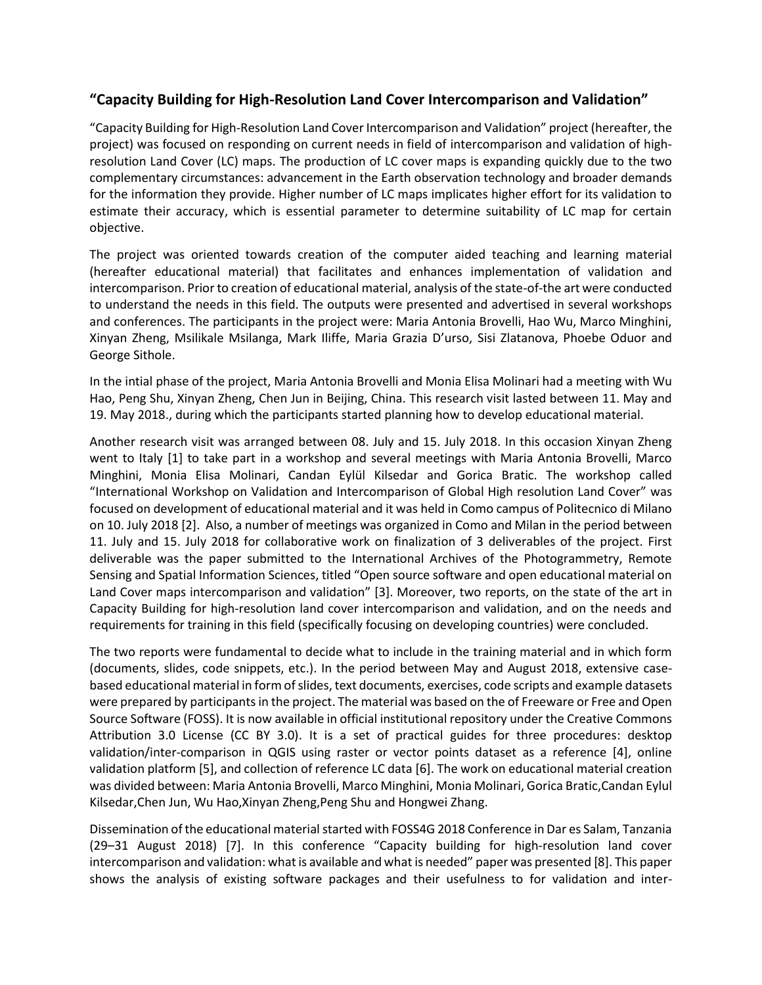## **"Capacity Building for High-Resolution Land Cover Intercomparison and Validation"**

"Capacity Building for High-Resolution Land Cover Intercomparison and Validation" project (hereafter, the project) was focused on responding on current needs in field of intercomparison and validation of highresolution Land Cover (LC) maps. The production of LC cover maps is expanding quickly due to the two complementary circumstances: advancement in the Earth observation technology and broader demands for the information they provide. Higher number of LC maps implicates higher effort for its validation to estimate their accuracy, which is essential parameter to determine suitability of LC map for certain objective.

The project was oriented towards creation of the computer aided teaching and learning material (hereafter educational material) that facilitates and enhances implementation of validation and intercomparison. Prior to creation of educational material, analysis of the state-of-the art were conducted to understand the needs in this field. The outputs were presented and advertised in several workshops and conferences. The participants in the project were: Maria Antonia Brovelli, Hao Wu, Marco Minghini, Xinyan Zheng, Msilikale Msilanga, Mark Iliffe, Maria Grazia D'urso, Sisi Zlatanova, Phoebe Oduor and George Sithole.

In the intial phase of the project, Maria Antonia Brovelli and Monia Elisa Molinari had a meeting with Wu Hao, Peng Shu, Xinyan Zheng, Chen Jun in Beijing, China. This research visit lasted between 11. May and 19. May 2018., during which the participants started planning how to develop educational material.

Another research visit was arranged between 08. July and 15. July 2018. In this occasion Xinyan Zheng went to Italy [1] to take part in a workshop and several meetings with Maria Antonia Brovelli, Marco Minghini, Monia Elisa Molinari, Candan Eylül Kilsedar and Gorica Bratic. The workshop called "International Workshop on Validation and Intercomparison of Global High resolution Land Cover" was focused on development of educational material and it was held in Como campus of Politecnico di Milano on 10. July 2018 [2]. Also, a number of meetings was organized in Como and Milan in the period between 11. July and 15. July 2018 for collaborative work on finalization of 3 deliverables of the project. First deliverable was the paper submitted to the International Archives of the Photogrammetry, Remote Sensing and Spatial Information Sciences, titled "Open source software and open educational material on Land Cover maps intercomparison and validation" [3]. Moreover, two reports, on the state of the art in Capacity Building for high-resolution land cover intercomparison and validation, and on the needs and requirements for training in this field (specifically focusing on developing countries) were concluded.

The two reports were fundamental to decide what to include in the training material and in which form (documents, slides, code snippets, etc.). In the period between May and August 2018, extensive casebased educational material in form of slides, text documents, exercises, code scripts and example datasets were prepared by participants in the project. The material was based on the of Freeware or Free and Open Source Software (FOSS). It is now available in official institutional repository under the Creative Commons Attribution 3.0 License (CC BY 3.0). It is a set of practical guides for three procedures: desktop validation/inter-comparison in QGIS using raster or vector points dataset as a reference [4], online validation platform [5], and collection of reference LC data [6]. The work on educational material creation was divided between: Maria Antonia Brovelli, Marco Minghini, Monia Molinari, Gorica Bratic,Candan Eylul Kilsedar,Chen Jun, Wu Hao,Xinyan Zheng,Peng Shu and Hongwei Zhang.

Dissemination of the educational material started with FOSS4G 2018 Conference in Dar es Salam, Tanzania (29–31 August 2018) [7]. In this conference "Capacity building for high-resolution land cover intercomparison and validation: what is available and what is needed" paper was presented [8]. This paper shows the analysis of existing software packages and their usefulness to for validation and inter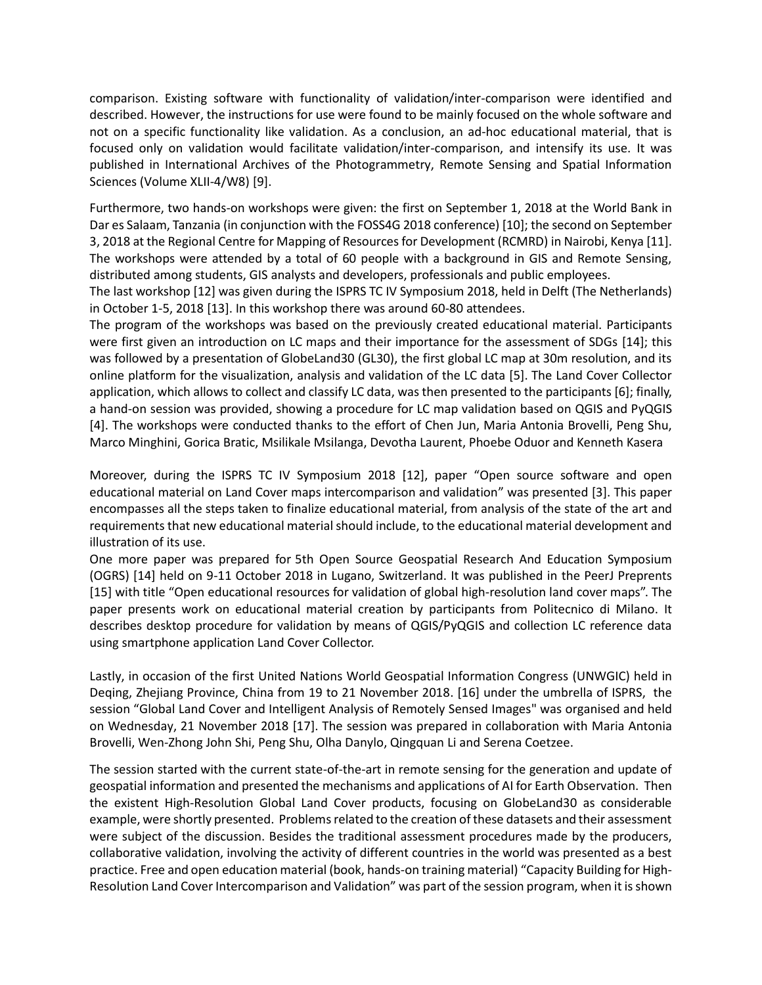comparison. Existing software with functionality of validation/inter-comparison were identified and described. However, the instructions for use were found to be mainly focused on the whole software and not on a specific functionality like validation. As a conclusion, an ad-hoc educational material, that is focused only on validation would facilitate validation/inter-comparison, and intensify its use. It was published in International Archives of the Photogrammetry, Remote Sensing and Spatial Information Sciences (Volume XLII-4/W8) [9].

Furthermore, two hands-on workshops were given: the first on September 1, 2018 at the [World Bank](https://www.worldbank.org/) in Dar es Salaam, Tanzania (in conjunction with the [FOSS4G 2018](http://2018.foss4g.org/) conference) [10]; the second on September 3, 2018 at the [Regional Centre for Mapping of Resources for Development \(RCMRD\)](http://www.rcmrd.org/) in Nairobi, Kenya [11]. The workshops were attended by a total of 60 people with a background in GIS and Remote Sensing, distributed among students, GIS analysts and developers, professionals and public employees.

The last workshop [12] was given during the [ISPRS TC IV Symposium 2018,](http://www.isprs.org/tc4-symposium2018/) held in Delft (The Netherlands) in October 1-5, 2018 [13]. In this workshop there was around 60-80 attendees.

The program of the workshops was based on the previously created educational material. Participants were first given an introduction on LC maps and their importance for the assessment of SDGs [14]; this was followed by a presentation of GlobeLand30 (GL30), the first global LC map at 30m resolution, and its [online platform](http://www.globallandcover.com/) for the visualization, analysis and validation of the LC data [5]. The [Land Cover Collector](https://landcover.como.polimi.it/collector/) application, which allows to collect and classify LC data, was then presented to the participants [6]; finally, a hand-on session was provided, showing a procedure for LC map validation based on [QGIS](https://qgis.org/) and [PyQGIS](https://qgis.org/pyqgis/master/) [4]. The workshops were conducted thanks to the effort of Chen Jun, Maria Antonia Brovelli, Peng Shu, Marco Minghini, Gorica Bratic, Msilikale Msilanga, Devotha Laurent, Phoebe Oduor and Kenneth Kasera

Moreover, during the ISPRS TC IV Symposium 2018 [12], paper "Open source software and open educational material on Land Cover maps intercomparison and validation" was presented [3]. This paper encompasses all the steps taken to finalize educational material, from analysis of the state of the art and requirements that new educational material should include, to the educational material development and illustration of its use.

One more paper was prepared for 5th Open Source Geospatial Research And Education Symposium (OGRS) [14] held on 9-11 October 2018 in Lugano, Switzerland. It was published in the PeerJ Preprents [15] with title "Open educational resources for validation of global high-resolution land cover maps". The paper presents work on educational material creation by participants from Politecnico di Milano. It describes desktop procedure for validation by means of QGIS/PyQGIS and collection LC reference data using smartphone application Land Cover Collector.

Lastly, in occasion of the first United Nations World Geospatial Information Congress (UNWGIC) held in Deqing, Zhejiang Province, China from 19 to 21 November 2018. [16] under the umbrella of ISPRS, the session "Global Land Cover and Intelligent Analysis of Remotely Sensed Images" was organised and held on Wednesday, 21 November 2018 [17]. The session was prepared in collaboration with Maria Antonia Brovelli, Wen-Zhong John Shi, Peng Shu, Olha Danylo, Qingquan Li and Serena Coetzee.

The session started with the current state-of-the-art in remote sensing for the generation and update of geospatial information and presented the mechanisms and applications of AI for Earth Observation. Then the existent High-Resolution Global Land Cover products, focusing on GlobeLand30 as considerable example, were shortly presented. Problems related to the creation of these datasets and their assessment were subject of the discussion. Besides the traditional assessment procedures made by the producers, collaborative validation, involving the activity of different countries in the world was presented as a best practice. Free and open education material (book, hands-on training material) "Capacity Building for High-Resolution Land Cover Intercomparison and Validation" was part of the session program, when it is shown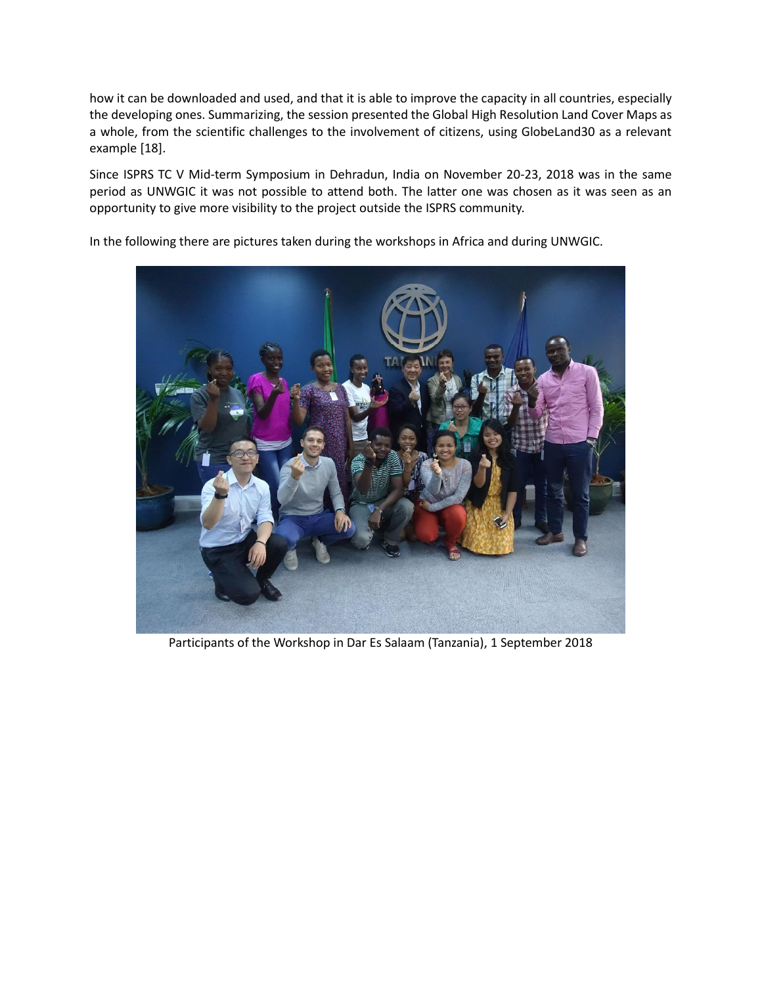how it can be downloaded and used, and that it is able to improve the capacity in all countries, especially the developing ones. Summarizing, the session presented the Global High Resolution Land Cover Maps as a whole, from the scientific challenges to the involvement of citizens, using GlobeLand30 as a relevant example [18].

Since ISPRS TC V Mid-term Symposium in Dehradun, India on November 20-23, 2018 was in the same period as UNWGIC it was not possible to attend both. The latter one was chosen as it was seen as an opportunity to give more visibility to the project outside the ISPRS community.

In the following there are pictures taken during the workshops in Africa and during UNWGIC.



Participants of the Workshop in Dar Es Salaam (Tanzania), 1 September 2018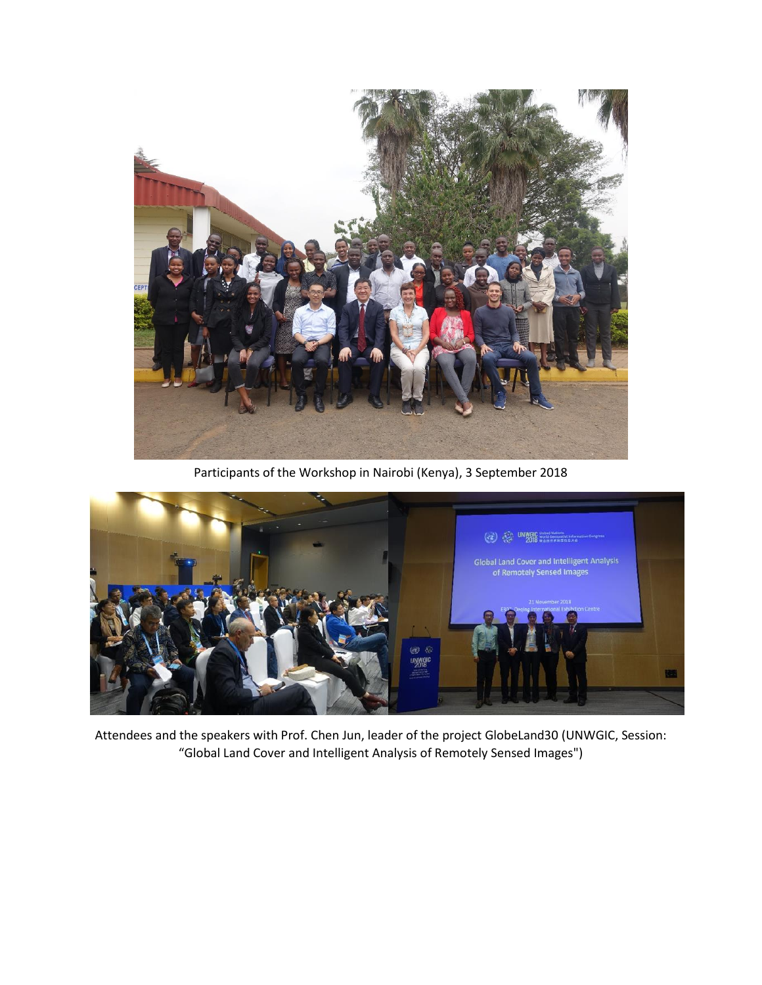

Participants of the Workshop in Nairobi (Kenya), 3 September 2018



Attendees and the speakers with Prof. Chen Jun, leader of the project GlobeLand30 (UNWGIC, Session: "Global Land Cover and Intelligent Analysis of Remotely Sensed Images")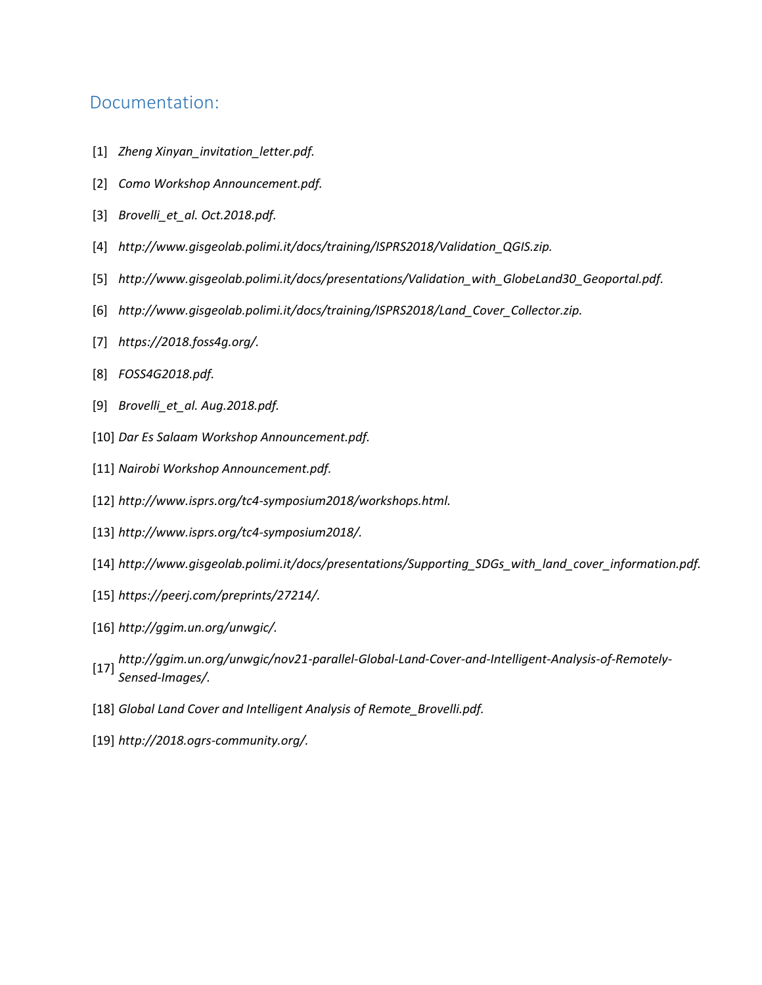## Documentation:

- [1] *Zheng Xinyan\_invitation\_letter.pdf.*
- [2] *Como Workshop Announcement.pdf.*
- [3] *Brovelli\_et\_al. Oct.2018.pdf.*
- [4] *http://www.gisgeolab.polimi.it/docs/training/ISPRS2018/Validation\_QGIS.zip.*
- [5] *http://www.gisgeolab.polimi.it/docs/presentations/Validation\_with\_GlobeLand30\_Geoportal.pdf.*
- [6] *http://www.gisgeolab.polimi.it/docs/training/ISPRS2018/Land\_Cover\_Collector.zip.*
- [7] *https://2018.foss4g.org/.*
- [8] *FOSS4G2018.pdf.*
- [9] *Brovelli\_et\_al. Aug.2018.pdf.*
- [10] *Dar Es Salaam Workshop Announcement.pdf.*
- [11] *Nairobi Workshop Announcement.pdf.*
- [12] *http://www.isprs.org/tc4-symposium2018/workshops.html.*
- [13] *http://www.isprs.org/tc4-symposium2018/.*
- [14] *http://www.gisgeolab.polimi.it/docs/presentations/Supporting\_SDGs\_with\_land\_cover\_information.pdf.*
- [15] *https://peerj.com/preprints/27214/.*
- [16] *http://ggim.un.org/unwgic/.*
- [17] *http://ggim.un.org/unwgic/nov21-parallel-Global-Land-Cover-and-Intelligent-Analysis-of-Remotely-Sensed-Images/.*
- [18] *Global Land Cover and Intelligent Analysis of Remote\_Brovelli.pdf.*
- [19] *http://2018.ogrs-community.org/.*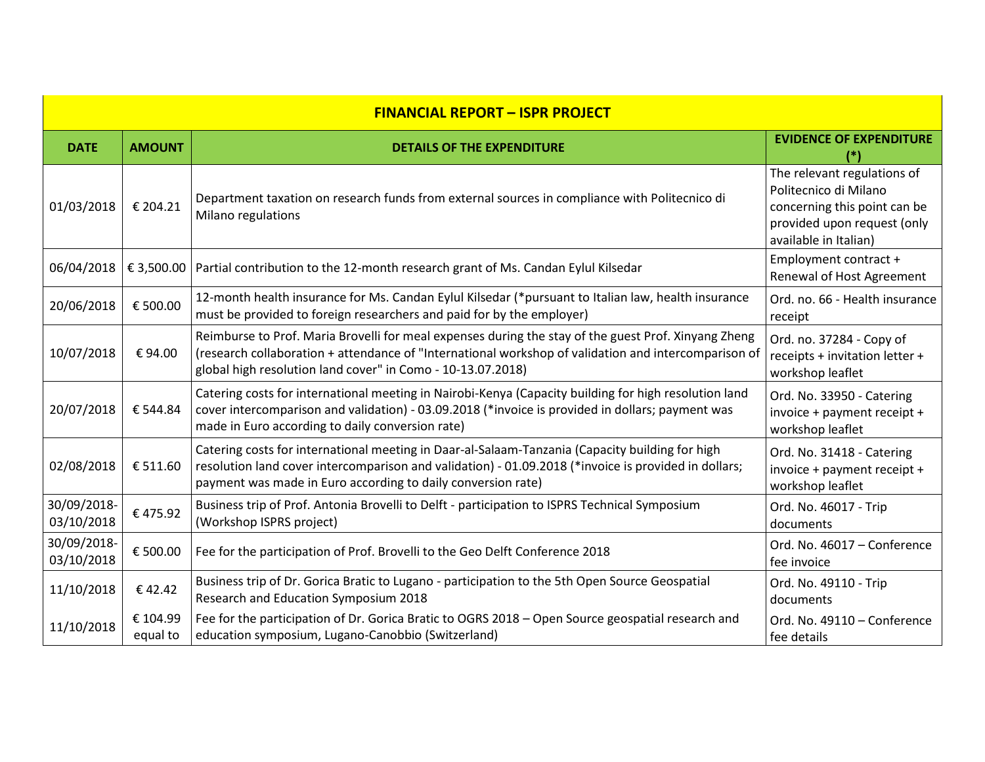| <b>FINANCIAL REPORT - ISPR PROJECT</b> |                      |                                                                                                                                                                                                                                                                             |                                                                                                                                              |  |  |
|----------------------------------------|----------------------|-----------------------------------------------------------------------------------------------------------------------------------------------------------------------------------------------------------------------------------------------------------------------------|----------------------------------------------------------------------------------------------------------------------------------------------|--|--|
| <b>DATE</b>                            | <b>AMOUNT</b>        | <b>DETAILS OF THE EXPENDITURE</b>                                                                                                                                                                                                                                           | <b>EVIDENCE OF EXPENDITURE</b>                                                                                                               |  |  |
| 01/03/2018                             | € 204.21             | Department taxation on research funds from external sources in compliance with Politecnico di<br>Milano regulations                                                                                                                                                         | The relevant regulations of<br>Politecnico di Milano<br>concerning this point can be<br>provided upon request (only<br>available in Italian) |  |  |
| 06/04/2018                             | € 3,500.00           | Partial contribution to the 12-month research grant of Ms. Candan Eylul Kilsedar                                                                                                                                                                                            | Employment contract +<br>Renewal of Host Agreement                                                                                           |  |  |
| 20/06/2018                             | € 500.00             | 12-month health insurance for Ms. Candan Eylul Kilsedar (*pursuant to Italian law, health insurance<br>must be provided to foreign researchers and paid for by the employer)                                                                                                | Ord. no. 66 - Health insurance<br>receipt                                                                                                    |  |  |
| 10/07/2018                             | € 94.00              | Reimburse to Prof. Maria Brovelli for meal expenses during the stay of the guest Prof. Xinyang Zheng<br>(research collaboration + attendance of "International workshop of validation and intercomparison of<br>global high resolution land cover" in Como - 10-13.07.2018) | Ord. no. 37284 - Copy of<br>receipts + invitation letter +<br>workshop leaflet                                                               |  |  |
| 20/07/2018                             | € 544.84             | Catering costs for international meeting in Nairobi-Kenya (Capacity building for high resolution land<br>cover intercomparison and validation) - 03.09.2018 (*invoice is provided in dollars; payment was<br>made in Euro according to daily conversion rate)               | Ord. No. 33950 - Catering<br>invoice + payment receipt +<br>workshop leaflet                                                                 |  |  |
| 02/08/2018                             | € 511.60             | Catering costs for international meeting in Daar-al-Salaam-Tanzania (Capacity building for high<br>resolution land cover intercomparison and validation) - 01.09.2018 (*invoice is provided in dollars;<br>payment was made in Euro according to daily conversion rate)     | Ord. No. 31418 - Catering<br>invoice + payment receipt +<br>workshop leaflet                                                                 |  |  |
| 30/09/2018-<br>03/10/2018              | €475.92              | Business trip of Prof. Antonia Brovelli to Delft - participation to ISPRS Technical Symposium<br>(Workshop ISPRS project)                                                                                                                                                   | Ord. No. 46017 - Trip<br>documents                                                                                                           |  |  |
| 30/09/2018-<br>03/10/2018              | € 500.00             | Fee for the participation of Prof. Brovelli to the Geo Delft Conference 2018                                                                                                                                                                                                | Ord. No. 46017 - Conference<br>fee invoice                                                                                                   |  |  |
| 11/10/2018                             | €42.42               | Business trip of Dr. Gorica Bratic to Lugano - participation to the 5th Open Source Geospatial<br>Research and Education Symposium 2018                                                                                                                                     | Ord. No. 49110 - Trip<br>documents                                                                                                           |  |  |
| 11/10/2018                             | € 104.99<br>equal to | Fee for the participation of Dr. Gorica Bratic to OGRS 2018 - Open Source geospatial research and<br>education symposium, Lugano-Canobbio (Switzerland)                                                                                                                     | Ord. No. 49110 - Conference<br>fee details                                                                                                   |  |  |

 $\mathbf{L}$ 

 $\overline{\phantom{a}}$